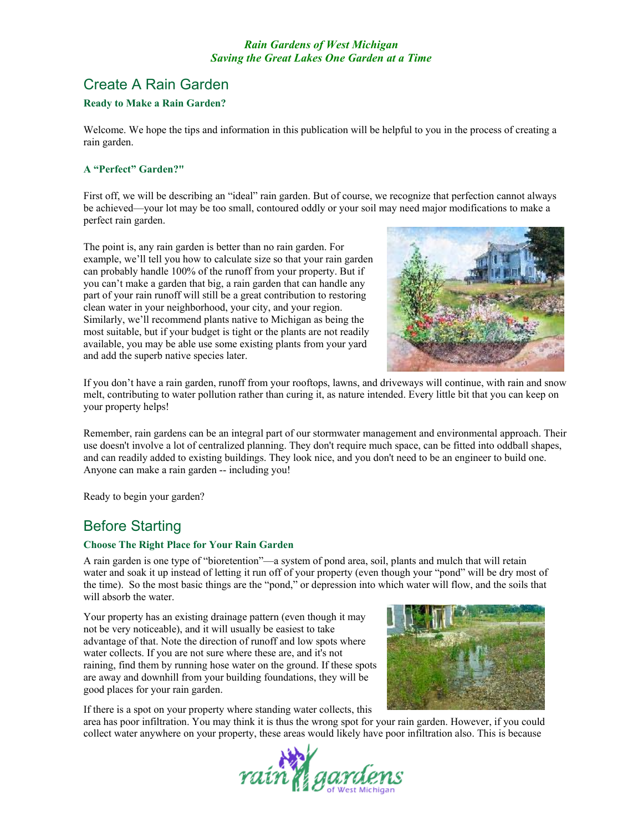# Create A Rain Garden

# **Ready to Make a Rain Garden?**

Welcome. We hope the tips and information in this publication will be helpful to you in the process of creating a rain garden.

# **A "Perfect" Garden?"**

First off, we will be describing an "ideal" rain garden. But of course, we recognize that perfection cannot always be achieved—your lot may be too small, contoured oddly or your soil may need major modifications to make a perfect rain garden.

The point is, any rain garden is better than no rain garden. For example, we'll tell you how to calculate size so that your rain garden can probably handle 100% of the runoff from your property. But if you can't make a garden that big, a rain garden that can handle any part of your rain runoff will still be a great contribution to restoring clean water in your neighborhood, your city, and your region. Similarly, we'll recommend plants native to Michigan as being the most suitable, but if your budget is tight or the plants are not readily available, you may be able use some existing plants from your yard and add the superb native species later.



If you don't have a rain garden, runoff from your rooftops, lawns, and driveways will continue, with rain and snow melt, contributing to water pollution rather than curing it, as nature intended. Every little bit that you can keep on your property helps!

Remember, rain gardens can be an integral part of our stormwater management and environmental approach. Their use doesn't involve a lot of centralized planning. They don't require much space, can be fitted into oddball shapes, and can readily added to existing buildings. They look nice, and you don't need to be an engineer to build one. Anyone can make a rain garden -- including you!

Ready to begin your garden?

# Before Starting

#### **Choose The Right Place for Your Rain Garden**

A rain garden is one type of "bioretention"—a system of pond area, soil, plants and mulch that will retain water and soak it up instead of letting it run off of your property (even though your "pond" will be dry most of the time). So the most basic things are the "pond," or depression into which water will flow, and the soils that will absorb the water.

Your property has an existing drainage pattern (even though it may not be very noticeable), and it will usually be easiest to take advantage of that. Note the direction of runoff and low spots where water collects. If you are not sure where these are, and it's not raining, find them by running hose water on the ground. If these spots are away and downhill from your building foundations, they will be good places for your rain garden.



If there is a spot on your property where standing water collects, this

area has poor infiltration. You may think it is thus the wrong spot for your rain garden. However, if you could collect water anywhere on your property, these areas would likely have poor infiltration also. This is because

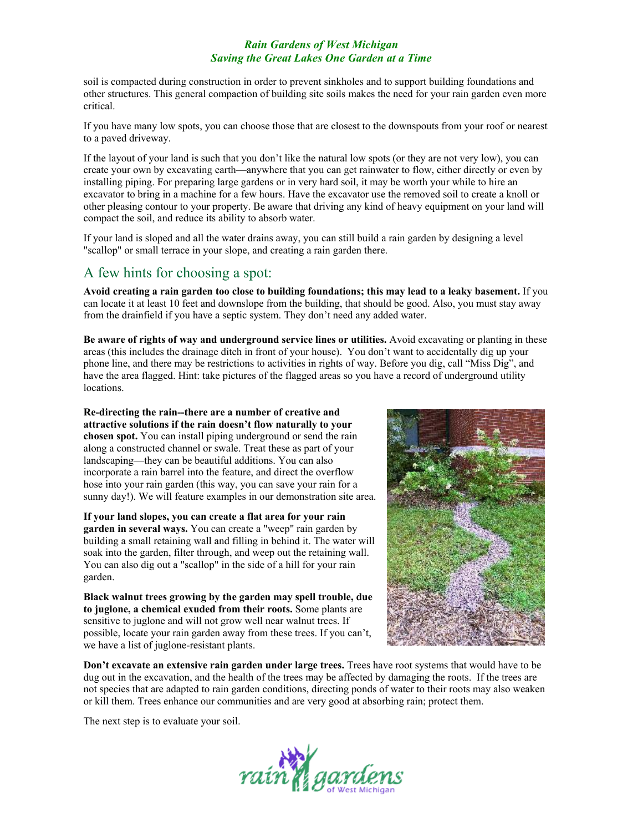soil is compacted during construction in order to prevent sinkholes and to support building foundations and other structures. This general compaction of building site soils makes the need for your rain garden even more critical.

If you have many low spots, you can choose those that are closest to the downspouts from your roof or nearest to a paved driveway.

If the layout of your land is such that you don't like the natural low spots (or they are not very low), you can create your own by excavating earth—anywhere that you can get rainwater to flow, either directly or even by installing piping. For preparing large gardens or in very hard soil, it may be worth your while to hire an excavator to bring in a machine for a few hours. Have the excavator use the removed soil to create a knoll or other pleasing contour to your property. Be aware that driving any kind of heavy equipment on your land will compact the soil, and reduce its ability to absorb water.

If your land is sloped and all the water drains away, you can still build a rain garden by designing a level "scallop" or small terrace in your slope, and creating a rain garden there.

# A few hints for choosing a spot:

**Avoid creating a rain garden too close to building foundations; this may lead to a leaky basement.** If you can locate it at least 10 feet and downslope from the building, that should be good. Also, you must stay away from the drainfield if you have a septic system. They don't need any added water.

**Be aware of rights of way and underground service lines or utilities.** Avoid excavating or planting in these areas (this includes the drainage ditch in front of your house). You don't want to accidentally dig up your phone line, and there may be restrictions to activities in rights of way. Before you dig, call "Miss Dig", and have the area flagged. Hint: take pictures of the flagged areas so you have a record of underground utility locations.

**Re-directing the rain--there are a number of creative and attractive solutions if the rain doesn't flow naturally to your chosen spot.** You can install piping underground or send the rain along a constructed channel or swale. Treat these as part of your landscaping—they can be beautiful additions. You can also incorporate a rain barrel into the feature, and direct the overflow hose into your rain garden (this way, you can save your rain for a sunny day!). We will feature examples in our demonstration site area.

**If your land slopes, you can create a flat area for your rain garden in several ways.** You can create a "weep" rain garden by building a small retaining wall and filling in behind it. The water will soak into the garden, filter through, and weep out the retaining wall. You can also dig out a "scallop" in the side of a hill for your rain garden.

**Black walnut trees growing by the garden may spell trouble, due to juglone, a chemical exuded from their roots.** Some plants are sensitive to juglone and will not grow well near walnut trees. If possible, locate your rain garden away from these trees. If you can't, we have a list of juglone-resistant plants.



**Don't excavate an extensive rain garden under large trees.** Trees have root systems that would have to be dug out in the excavation, and the health of the trees may be affected by damaging the roots. If the trees are not species that are adapted to rain garden conditions, directing ponds of water to their roots may also weaken or kill them. Trees enhance our communities and are very good at absorbing rain; protect them.

The next step is to evaluate your soil.

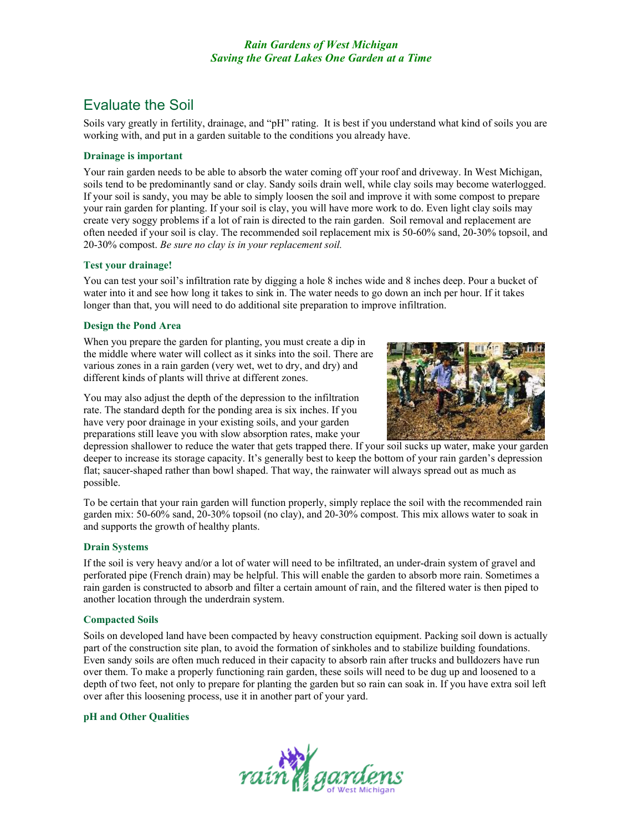# Evaluate the Soil

Soils vary greatly in fertility, drainage, and "pH" rating. It is best if you understand what kind of soils you are working with, and put in a garden suitable to the conditions you already have.

## **Drainage is important**

Your rain garden needs to be able to absorb the water coming off your roof and driveway. In West Michigan, soils tend to be predominantly sand or clay. Sandy soils drain well, while clay soils may become waterlogged. If your soil is sandy, you may be able to simply loosen the soil and improve it with some compost to prepare your rain garden for planting. If your soil is clay, you will have more work to do. Even light clay soils may create very soggy problems if a lot of rain is directed to the rain garden. Soil removal and replacement are often needed if your soil is clay. The recommended soil replacement mix is 50-60% sand, 20-30% topsoil, and 20-30% compost. *Be sure no clay is in your replacement soil.* 

#### **Test your drainage!**

You can test your soil's infiltration rate by digging a hole 8 inches wide and 8 inches deep. Pour a bucket of water into it and see how long it takes to sink in. The water needs to go down an inch per hour. If it takes longer than that, you will need to do additional site preparation to improve infiltration.

## **Design the Pond Area**

When you prepare the garden for planting, you must create a dip in the middle where water will collect as it sinks into the soil. There are various zones in a rain garden (very wet, wet to dry, and dry) and different kinds of plants will thrive at different zones.

You may also adjust the depth of the depression to the infiltration rate. The standard depth for the ponding area is six inches. If you have very poor drainage in your existing soils, and your garden preparations still leave you with slow absorption rates, make your



depression shallower to reduce the water that gets trapped there. If your soil sucks up water, make your garden deeper to increase its storage capacity. It's generally best to keep the bottom of your rain garden's depression flat; saucer-shaped rather than bowl shaped. That way, the rainwater will always spread out as much as possible.

To be certain that your rain garden will function properly, simply replace the soil with the recommended rain garden mix: 50-60% sand, 20-30% topsoil (no clay), and 20-30% compost. This mix allows water to soak in and supports the growth of healthy plants.

#### **Drain Systems**

If the soil is very heavy and/or a lot of water will need to be infiltrated, an under-drain system of gravel and perforated pipe (French drain) may be helpful. This will enable the garden to absorb more rain. Sometimes a rain garden is constructed to absorb and filter a certain amount of rain, and the filtered water is then piped to another location through the underdrain system.

#### **Compacted Soils**

Soils on developed land have been compacted by heavy construction equipment. Packing soil down is actually part of the construction site plan, to avoid the formation of sinkholes and to stabilize building foundations. Even sandy soils are often much reduced in their capacity to absorb rain after trucks and bulldozers have run over them. To make a properly functioning rain garden, these soils will need to be dug up and loosened to a depth of two feet, not only to prepare for planting the garden but so rain can soak in. If you have extra soil left over after this loosening process, use it in another part of your yard.

#### **pH and Other Qualities**

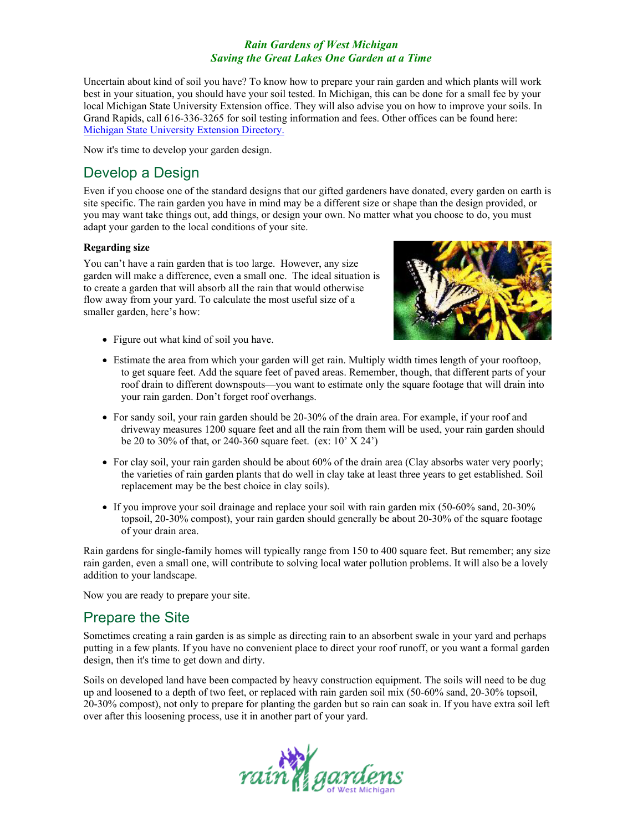Uncertain about kind of soil you have? To know how to prepare your rain garden and which plants will work best in your situation, you should have your soil tested. In Michigan, this can be done for a small fee by your local Michigan State University Extension office. They will also advise you on how to improve your soils. In Grand Rapids, call 616-336-3265 for soil testing information and fees. Other offices can be found here: [Michigan State University Extension](http://www.msue.msu.edu/msue/ctyentpg/ctyunits.html) Directory.

Now it's time to develop your garden design.

# Develop a Design

Even if you choose one of the standard designs that our gifted gardeners have donated, every garden on earth is site specific. The rain garden you have in mind may be a different size or shape than the design provided, or you may want take things out, add things, or design your own. No matter what you choose to do, you must adapt your garden to the local conditions of your site.

## **Regarding size**

You can't have a rain garden that is too large. However, any size garden will make a difference, even a small one. The ideal situation is to create a garden that will absorb all the rain that would otherwise flow away from your yard. To calculate the most useful size of a smaller garden, here's how:



- Figure out what kind of soil you have.
- Estimate the area from which your garden will get rain. Multiply width times length of your rooftoop, to get square feet. Add the square feet of paved areas. Remember, though, that different parts of your roof drain to different downspouts—you want to estimate only the square footage that will drain into your rain garden. Don't forget roof overhangs.
- For sandy soil, your rain garden should be 20-30% of the drain area. For example, if your roof and driveway measures 1200 square feet and all the rain from them will be used, your rain garden should be 20 to 30% of that, or 240-360 square feet. (ex: 10' X 24')
- For clay soil, your rain garden should be about 60% of the drain area (Clay absorbs water very poorly; the varieties of rain garden plants that do well in clay take at least three years to get established. Soil replacement may be the best choice in clay soils).
- If you improve your soil drainage and replace your soil with rain garden mix (50-60% sand, 20-30%) topsoil, 20-30% compost), your rain garden should generally be about 20-30% of the square footage of your drain area.

Rain gardens for single-family homes will typically range from 150 to 400 square feet. But remember; any size rain garden, even a small one, will contribute to solving local water pollution problems. It will also be a lovely addition to your landscape.

Now you are ready to prepare your site.

# Prepare the Site

Sometimes creating a rain garden is as simple as directing rain to an absorbent swale in your yard and perhaps putting in a few plants. If you have no convenient place to direct your roof runoff, or you want a formal garden design, then it's time to get down and dirty.

Soils on developed land have been compacted by heavy construction equipment. The soils will need to be dug up and loosened to a depth of two feet, or replaced with rain garden soil mix (50-60% sand, 20-30% topsoil, 20-30% compost), not only to prepare for planting the garden but so rain can soak in. If you have extra soil left over after this loosening process, use it in another part of your yard.

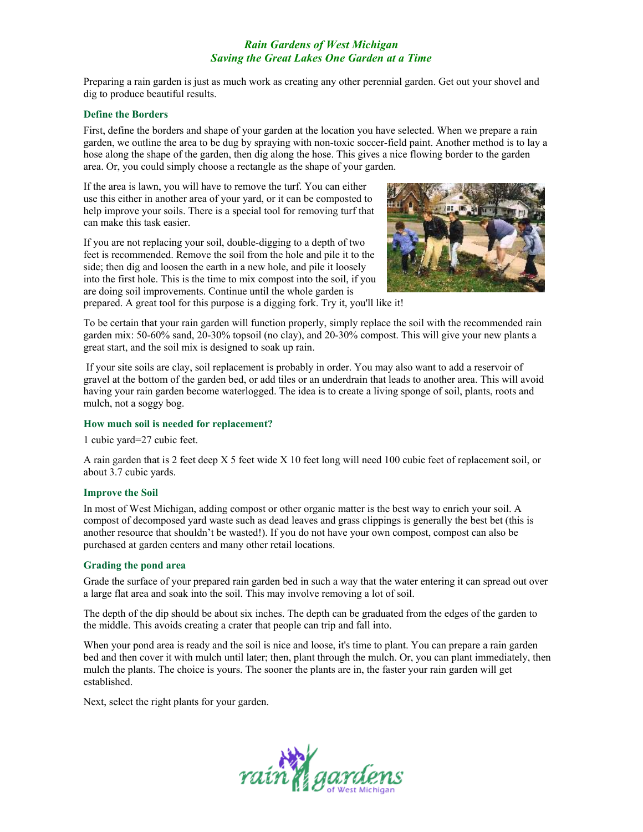Preparing a rain garden is just as much work as creating any other perennial garden. Get out your shovel and dig to produce beautiful results.

#### **Define the Borders**

First, define the borders and shape of your garden at the location you have selected. When we prepare a rain garden, we outline the area to be dug by spraying with non-toxic soccer-field paint. Another method is to lay a hose along the shape of the garden, then dig along the hose. This gives a nice flowing border to the garden area. Or, you could simply choose a rectangle as the shape of your garden.

If the area is lawn, you will have to remove the turf. You can either use this either in another area of your yard, or it can be composted to help improve your soils. There is a special tool for removing turf that can make this task easier.

If you are not replacing your soil, double-digging to a depth of two feet is recommended. Remove the soil from the hole and pile it to the side; then dig and loosen the earth in a new hole, and pile it loosely into the first hole. This is the time to mix compost into the soil, if you are doing soil improvements. Continue until the whole garden is



prepared. A great tool for this purpose is a digging fork. Try it, you'll like it!

To be certain that your rain garden will function properly, simply replace the soil with the recommended rain garden mix: 50-60% sand, 20-30% topsoil (no clay), and 20-30% compost. This will give your new plants a great start, and the soil mix is designed to soak up rain.

 If your site soils are clay, soil replacement is probably in order. You may also want to add a reservoir of gravel at the bottom of the garden bed, or add tiles or an underdrain that leads to another area. This will avoid having your rain garden become waterlogged. The idea is to create a living sponge of soil, plants, roots and mulch, not a soggy bog.

#### **How much soil is needed for replacement?**

1 cubic yard=27 cubic feet.

A rain garden that is 2 feet deep X 5 feet wide X 10 feet long will need 100 cubic feet of replacement soil, or about 3.7 cubic yards.

#### **Improve the Soil**

In most of West Michigan, adding compost or other organic matter is the best way to enrich your soil. A compost of decomposed yard waste such as dead leaves and grass clippings is generally the best bet (this is another resource that shouldn't be wasted!). If you do not have your own compost, compost can also be purchased at garden centers and many other retail locations.

#### **Grading the pond area**

Grade the surface of your prepared rain garden bed in such a way that the water entering it can spread out over a large flat area and soak into the soil. This may involve removing a lot of soil.

The depth of the dip should be about six inches. The depth can be graduated from the edges of the garden to the middle. This avoids creating a crater that people can trip and fall into.

When your pond area is ready and the soil is nice and loose, it's time to plant. You can prepare a rain garden bed and then cover it with mulch until later; then, plant through the mulch. Or, you can plant immediately, then mulch the plants. The choice is yours. The sooner the plants are in, the faster your rain garden will get established.

Next, select the right plants for your garden.

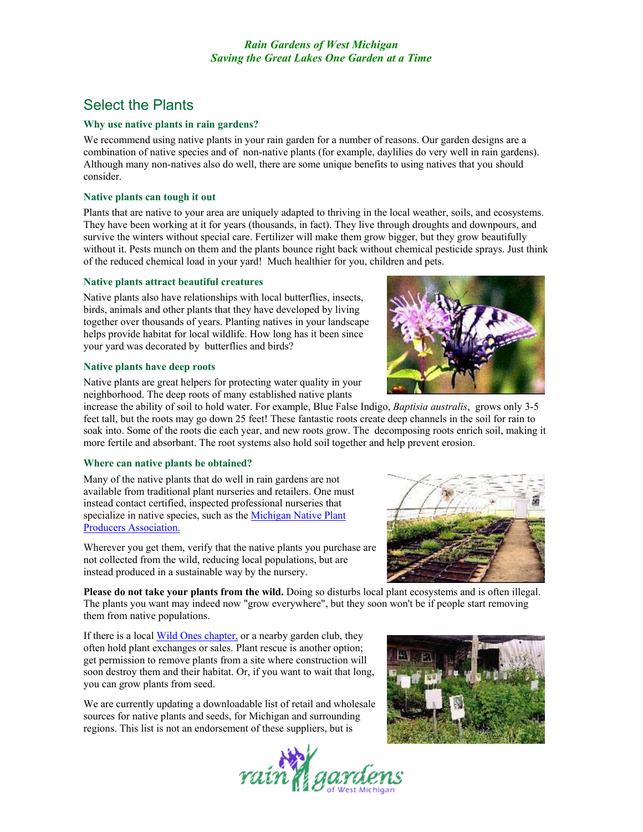# Select the Plants

## **Why use native plants in rain gardens?**

We recommend using native plants in your rain garden for a number of reasons. Our garden designs are a combination of native species and of non-native plants (for example, daylilies do very well in rain gardens). Although many non-natives also do well, there are some unique benefits to using natives that you should consider.

# **Native plants can tough it out**

Plants that are native to your area are uniquely adapted to thriving in the local weather, soils, and ecosystems. They have been working at it for years (thousands, in fact). They live through droughts and downpours, and survive the winters without special care. Fertilizer will make them grow bigger, but they grow beautifully without it. Pests munch on them and the plants bounce right back without chemical pesticide sprays. Just think of the reduced chemical load in your yard! Much healthier for you, children and pets.

## **Native plants attract beautiful creatures**

Native plants also have relationships with local butterflies, insects, birds, animals and other plants that they have developed by living together over thousands of years. Planting natives in your landscape helps provide habitat for local wildlife. How long has it been since your yard was decorated by butterflies and birds?

## **Native plants have deep roots**

Native plants are great helpers for protecting water quality in your neighborhood. The deep roots of many established native plants

increase the ability of soil to hold water. For example, Blue False Indigo, *Baptisia australis*, grows only 3-5 feet tall, but the roots may go down 25 feet! These fantastic roots create deep channels in the soil for rain to soak into. Some of the roots die each year, and new roots grow. The decomposing roots enrich soil, making it more fertile and absorbant. The root systems also hold soil together and help prevent erosion.

# **Where can native plants be obtained?**

Many of the native plants that do well in rain gardens are not available from traditional plant nurseries and retailers. One must instead contact certified, inspected professional nurseries that specialize in native species, such as the [Michigan Native Plant](http://www.nohlc.org/MNPPA.htm)  [Producers Association.](http://www.nohlc.org/MNPPA.htm) 

Wherever you get them, verify that the native plants you purchase are not collected from the wild, reducing local populations, but are instead produced in a sustainable way by the nursery.

**Please do not take your plants from the wild.** Doing so disturbs local plant ecosystems and is often illegal. The plants you want may indeed now "grow everywhere", but they soon won't be if people start removing them from native populations.

If there is a local [Wild Ones chapter,](http://www.for-wild.org/chapters.htm) or a nearby garden club, they often hold plant exchanges or sales. Plant rescue is another option; get permission to remove plants from a site where construction will soon destroy them and their habitat. Or, if you want to wait that long, you can grow plants from seed.

We are currently updating a downloadable list of retail and wholesale sources for native plants and seeds, for Michigan and surrounding regions. This list is not an endorsement of these suppliers, but is









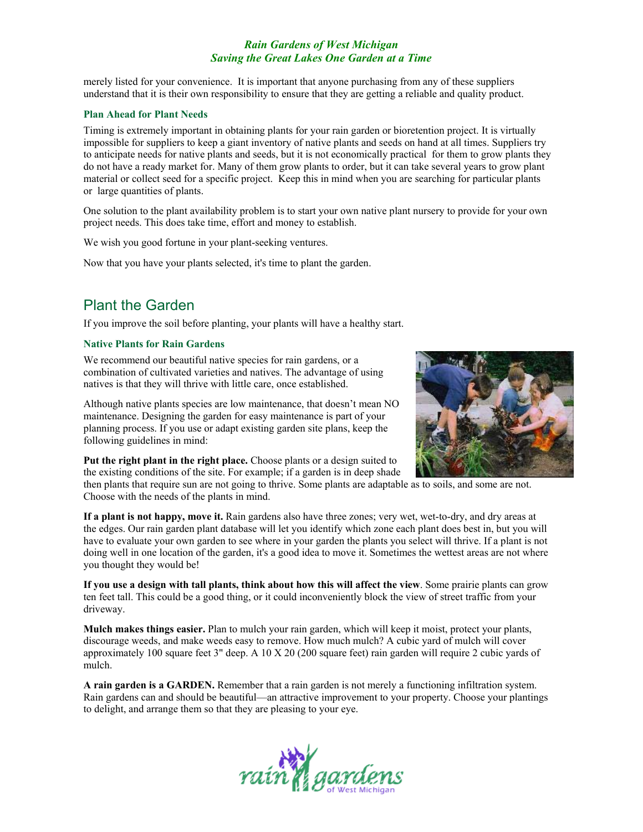merely listed for your convenience. It is important that anyone purchasing from any of these suppliers understand that it is their own responsibility to ensure that they are getting a reliable and quality product.

#### **Plan Ahead for Plant Needs**

Timing is extremely important in obtaining plants for your rain garden or bioretention project. It is virtually impossible for suppliers to keep a giant inventory of native plants and seeds on hand at all times. Suppliers try to anticipate needs for native plants and seeds, but it is not economically practical for them to grow plants they do not have a ready market for. Many of them grow plants to order, but it can take several years to grow plant material or collect seed for a specific project. Keep this in mind when you are searching for particular plants or large quantities of plants.

One solution to the plant availability problem is to start your own native plant nursery to provide for your own project needs. This does take time, effort and money to establish.

We wish you good fortune in your plant-seeking ventures.

Now that you have your plants selected, it's time to plant the garden.

# Plant the Garden

If you improve the soil before planting, your plants will have a healthy start.

#### **Native Plants for Rain Gardens**

We recommend our beautiful native species for rain gardens, or a combination of cultivated varieties and natives. The advantage of using natives is that they will thrive with little care, once established.

Although native plants species are low maintenance, that doesn't mean NO maintenance. Designing the garden for easy maintenance is part of your planning process. If you use or adapt existing garden site plans, keep the following guidelines in mind:

**Put the right plant in the right place.** Choose plants or a design suited to the existing conditions of the site. For example; if a garden is in deep shade



then plants that require sun are not going to thrive. Some plants are adaptable as to soils, and some are not. Choose with the needs of the plants in mind.

**If a plant is not happy, move it.** Rain gardens also have three zones; very wet, wet-to-dry, and dry areas at the edges. Our rain garden plant database will let you identify which zone each plant does best in, but you will have to evaluate your own garden to see where in your garden the plants you select will thrive. If a plant is not doing well in one location of the garden, it's a good idea to move it. Sometimes the wettest areas are not where you thought they would be!

**If you use a design with tall plants, think about how this will affect the view**. Some prairie plants can grow ten feet tall. This could be a good thing, or it could inconveniently block the view of street traffic from your driveway.

**Mulch makes things easier.** Plan to mulch your rain garden, which will keep it moist, protect your plants, discourage weeds, and make weeds easy to remove. How much mulch? A cubic yard of mulch will cover approximately 100 square feet 3" deep. A 10 X 20 (200 square feet) rain garden will require 2 cubic yards of mulch.

**A rain garden is a GARDEN.** Remember that a rain garden is not merely a functioning infiltration system. Rain gardens can and should be beautiful—an attractive improvement to your property. Choose your plantings to delight, and arrange them so that they are pleasing to your eye.

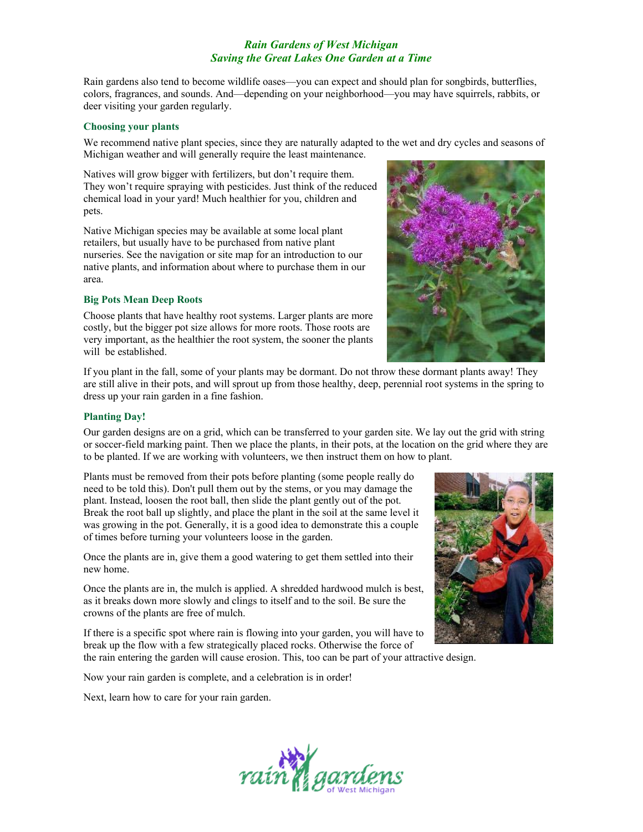Rain gardens also tend to become wildlife oases—you can expect and should plan for songbirds, butterflies, colors, fragrances, and sounds. And—depending on your neighborhood—you may have squirrels, rabbits, or deer visiting your garden regularly.

#### **Choosing your plants**

We recommend native plant species, since they are naturally adapted to the wet and dry cycles and seasons of Michigan weather and will generally require the least maintenance.

Natives will grow bigger with fertilizers, but don't require them. They won't require spraying with pesticides. Just think of the reduced chemical load in your yard! Much healthier for you, children and pets.

Native Michigan species may be available at some local plant retailers, but usually have to be purchased from native plant nurseries. See the navigation or site map for an introduction to our native plants, and information about where to purchase them in our area.

#### **Big Pots Mean Deep Roots**

Choose plants that have healthy root systems. Larger plants are more costly, but the bigger pot size allows for more roots. Those roots are very important, as the healthier the root system, the sooner the plants will be established.



If you plant in the fall, some of your plants may be dormant. Do not throw these dormant plants away! They are still alive in their pots, and will sprout up from those healthy, deep, perennial root systems in the spring to dress up your rain garden in a fine fashion.

#### **Planting Day!**

Our garden designs are on a grid, which can be transferred to your garden site. We lay out the grid with string or soccer-field marking paint. Then we place the plants, in their pots, at the location on the grid where they are to be planted. If we are working with volunteers, we then instruct them on how to plant.

Plants must be removed from their pots before planting (some people really do need to be told this). Don't pull them out by the stems, or you may damage the plant. Instead, loosen the root ball, then slide the plant gently out of the pot. Break the root ball up slightly, and place the plant in the soil at the same level it was growing in the pot. Generally, it is a good idea to demonstrate this a couple of times before turning your volunteers loose in the garden.

Once the plants are in, give them a good watering to get them settled into their new home.

Once the plants are in, the mulch is applied. A shredded hardwood mulch is best, as it breaks down more slowly and clings to itself and to the soil. Be sure the crowns of the plants are free of mulch.

If there is a specific spot where rain is flowing into your garden, you will have to break up the flow with a few strategically placed rocks. Otherwise the force of

the rain entering the garden will cause erosion. This, too can be part of your attractive design.

Now your rain garden is complete, and a celebration is in order!

Next, learn how to care for your rain garden.



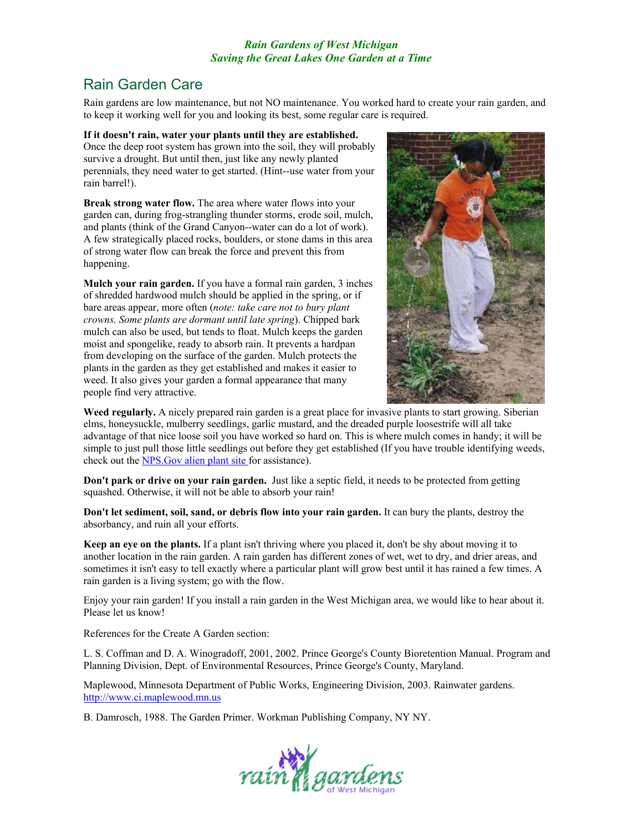# Rain Garden Care

Rain gardens are low maintenance, but not NO maintenance. You worked hard to create your rain garden, and to keep it working well for you and looking its best, some regular care is required.

### **If it doesn't rain, water your plants until they are established.**

Once the deep root system has grown into the soil, they will probably survive a drought. But until then, just like any newly planted perennials, they need water to get started. (Hint--use water from your rain barrel!).

**Break strong water flow.** The area where water flows into your garden can, during frog-strangling thunder storms, erode soil, mulch, and plants (think of the Grand Canyon--water can do a lot of work). A few strategically placed rocks, boulders, or stone dams in this area of strong water flow can break the force and prevent this from happening.

**Mulch your rain garden.** If you have a formal rain garden, 3 inches of shredded hardwood mulch should be applied in the spring, or if bare areas appear, more often (*note: take care not to bury plant crowns. Some plants are dormant until late spring*). Chipped bark mulch can also be used, but tends to float. Mulch keeps the garden moist and spongelike, ready to absorb rain. It prevents a hardpan from developing on the surface of the garden. Mulch protects the plants in the garden as they get established and makes it easier to weed. It also gives your garden a formal appearance that many people find very attractive.



**Weed regularly.** A nicely prepared rain garden is a great place for invasive plants to start growing. Siberian elms, honeysuckle, mulberry seedlings, garlic mustard, and the dreaded purple loosestrife will all take advantage of that nice loose soil you have worked so hard on. This is where mulch comes in handy; it will be simple to just pull those little seedlings out before they get established (If you have trouble identifying weeds, check out the [NPS.Gov alien plant site f](http://www.nps.gov/plants/alien/)or assistance).

**Don't park or drive on your rain garden.** Just like a septic field, it needs to be protected from getting squashed. Otherwise, it will not be able to absorb your rain!

**Don't let sediment, soil, sand, or debris flow into your rain garden.** It can bury the plants, destroy the absorbancy, and ruin all your efforts.

**Keep an eye on the plants.** If a plant isn't thriving where you placed it, don't be shy about moving it to another location in the rain garden. A rain garden has different zones of wet, wet to dry, and drier areas, and sometimes it isn't easy to tell exactly where a particular plant will grow best until it has rained a few times. A rain garden is a living system; go with the flow.

Enjoy your rain garden! If you install a rain garden in the West Michigan area, we would like to hear about it. Please let us know!

References for the Create A Garden section:

L. S. Coffman and D. A. Winogradoff, 2001, 2002. Prince George's County Bioretention Manual. Program and Planning Division, Dept. of Environmental Resources, Prince George's County, Maryland.

Maplewood, Minnesota Department of Public Works, Engineering Division, 2003. Rainwater gardens. [http://www.ci.maplewood.mn.us](http://www.ci.maplewood.mn.us/) 

B. Damrosch, 1988. The Garden Primer. Workman Publishing Company, NY NY.